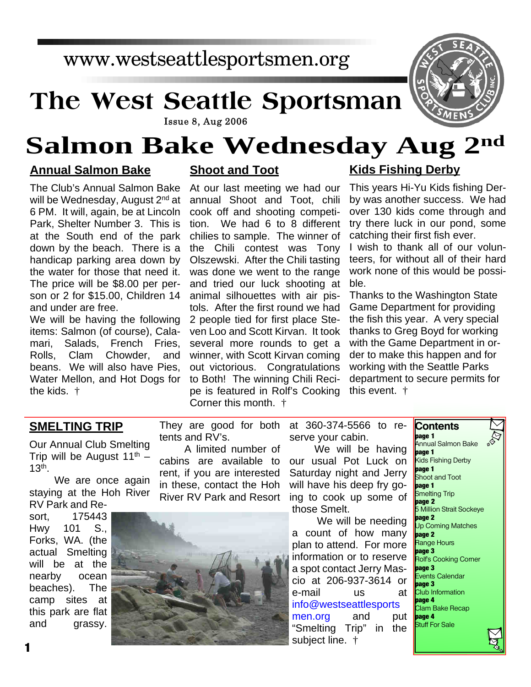## www.westseattlesportsmen.org

# **The West Seattle Sportsman**



#### **Issue 8, Aug 2006**

# **Salmon Bake Wednesday Aug 2nd**

### **Annual Salmon Bake**

The Club's Annual Salmon Bake will be Wednesday, August 2<sup>nd</sup> at 6 PM. It will, again, be at Lincoln Park, Shelter Number 3. This is at the South end of the park down by the beach. There is a handicap parking area down by the water for those that need it. The price will be \$8.00 per person or 2 for \$15.00, Children 14 and under are free.

We will be having the following items: Salmon (of course), Calamari, Salads, French Fries, Rolls, Clam Chowder, and beans. We will also have Pies, Water Mellon, and Hot Dogs for the kids. †

## **Shoot and Toot**

At our last meeting we had our annual Shoot and Toot, chili cook off and shooting competition. We had 6 to 8 different chilies to sample. The winner of the Chili contest was Tony Olszewski. After the Chili tasting was done we went to the range and tried our luck shooting at animal silhouettes with air pistols. After the first round we had 2 people tied for first place Steven Loo and Scott Kirvan. It took several more rounds to get a winner, with Scott Kirvan coming out victorious. Congratulations to Both! The winning Chili Recipe is featured in Rolf's Cooking Corner this month. †

## **Kids Fishing Derby**

This years Hi-Yu Kids fishing Derby was another success. We had over 130 kids come through and try there luck in our pond, some catching their first fish ever.

I wish to thank all of our volunteers, for without all of their hard work none of this would be possible.

Thanks to the Washington State Game Department for providing the fish this year. A very special thanks to Greg Boyd for working with the Game Department in order to make this happen and for working with the Seattle Parks department to secure permits for this event. †

**Contents**

#### **SMELTING TRIP**

Our Annual Club Smelting Trip will be August  $11^{th}$  – 13th .

We are once again staying at the Hoh River RV Park and Re-

sort, 175443 Hwy 101 S., Forks, WA. (the actual Smelting will be at the nearby ocean beaches). The camp sites at this park are flat and grassy.

They are good for both tents and RV's.

A limited number of cabins are available to rent, if you are interested in these, contact the Hoh River RV Park and Resort



at 360-374-5566 to reserve your cabin.

We will be having our usual Pot Luck on Saturday night and Jerry will have his deep fry going to cook up some of those Smelt.

We will be needing a count of how many plan to attend. For more information or to reserve a spot contact Jerry Mascio at 206-937-3614 or e-mail us at info@westseattlesports men.org and put "Smelting Trip" in the subject line. †

**page 1** Annual Salmon Bake **page 1** Kids Fishing Derby **page 1** Shoot and Toot **page 1** Smelting Trip **page 2** 5 Million Strait Sockeye **page 2** Up Coming Matches **page 2** Range Hours **page 3** Rolf's Cooking Corner **page 3** Events Calendar **page 3** Club Information **page 4** Clam Bake Recap **page 4** Stuff For Sale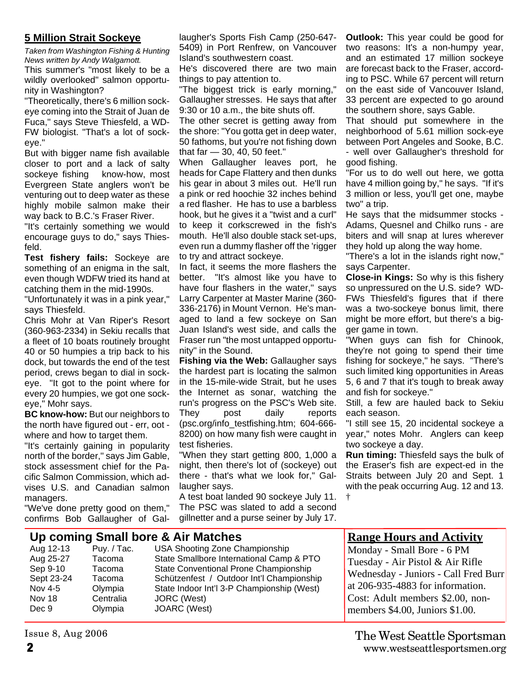#### **5 Million Strait Sockeye**

*Taken from Washington Fishing & Hunting News written by Andy Walgamott.*

This summer's "most likely to be a wildly overlooked" salmon opportunity in Washington?

"Theoretically, there's 6 million sockeye coming into the Strait of Juan de Fuca," says Steve Thiesfeld, a WD-FW biologist. "That's a lot of sockeye."

But with bigger name fish available closer to port and a lack of salty sockeye fishing know-how, most Evergreen State anglers won't be venturing out to deep water as these highly mobile salmon make their way back to B.C.'s Fraser River.

"It's certainly something we would encourage guys to do," says Thiesfeld.

**Test fishery fails:** Sockeye are something of an enigma in the salt, even though WDFW tried its hand at catching them in the mid-1990s.

"Unfortunately it was in a pink year," says Thiesfeld.

Chris Mohr at Van Riper's Resort (360-963-2334) in Sekiu recalls that a fleet of 10 boats routinely brought 40 or 50 humpies a trip back to his dock, but towards the end of the test period, crews began to dial in sockeye. "It got to the point where for every 20 humpies, we got one sockeye," Mohr says.

**BC know-how:** But our neighbors to the north have figured out - err, oot where and how to target them.

"It's certainly gaining in popularity north of the border," says Jim Gable, stock assessment chief for the Pacific Salmon Commission, which advises U.S. and Canadian salmon managers.

"We've done pretty good on them," confirms Bob Gallaugher of Gallaugher's Sports Fish Camp (250-647- 5409) in Port Renfrew, on Vancouver Island's southwestern coast.

He's discovered there are two main things to pay attention to.

"The biggest trick is early morning," Gallaugher stresses. He says that after 9:30 or 10 a.m., the bite shuts off.

The other secret is getting away from the shore: "You gotta get in deep water, 50 fathoms, but you're not fishing down that far — 30, 40, 50 feet."

When Gallaugher leaves port, he heads for Cape Flattery and then dunks his gear in about 3 miles out. He'll run a pink or red hoochie 32 inches behind a red flasher. He has to use a barbless hook, but he gives it a "twist and a curl" to keep it corkscrewed in the fish's mouth. He'll also double stack set-ups, even run a dummy flasher off the 'rigger to try and attract sockeye.

In fact, it seems the more flashers the better. "It's almost like you have to have four flashers in the water," says Larry Carpenter at Master Marine (360- 336-2176) in Mount Vernon. He's managed to land a few sockeye on San Juan Island's west side, and calls the Fraser run "the most untapped opportunity" in the Sound.

**Fishing via the Web:** Gallaugher says the hardest part is locating the salmon in the 15-mile-wide Strait, but he uses the Internet as sonar, watching the run's progress on the PSC's Web site. They post daily reports (psc.org/info\_testfishing.htm; 604-666- 8200) on how many fish were caught in test fisheries.

"When they start getting 800, 1,000 a night, then there's lot of (sockeye) out there - that's what we look for," Gallaugher says.

A test boat landed 90 sockeye July 11. The PSC was slated to add a second gillnetter and a purse seiner by July 17.

**Outlook:** This year could be good for two reasons: It's a non-humpy year, and an estimated 17 million sockeye are forecast back to the Fraser, according to PSC. While 67 percent will return on the east side of Vancouver Island, 33 percent are expected to go around the southern shore, says Gable.

That should put somewhere in the neighborhood of 5.61 million sock-eye between Port Angeles and Sooke, B.C. - well over Gallaugher's threshold for

good fishing.

"For us to do well out here, we gotta have 4 million going by," he says. "If it's 3 million or less, you'll get one, maybe two" a trip.

He says that the midsummer stocks - Adams, Quesnel and Chilko runs - are biters and will snap at lures wherever they hold up along the way home.

"There's a lot in the islands right now," says Carpenter.

**Close-in Kings:** So why is this fishery so unpressured on the U.S. side? WD-FWs Thiesfeld's figures that if there was a two-sockeye bonus limit, there might be more effort, but there's a bigger game in town.

"When guys can fish for Chinook, they're not going to spend their time fishing for sockeye," he says. "There's such limited king opportunities in Areas 5, 6 and 7 that it's tough to break away and fish for sockeye."

Still, a few are hauled back to Sekiu each season.

"I still see 15, 20 incidental sockeye a year," notes Mohr. Anglers can keep two sockeye a day.

**Run timing:** Thiesfeld says the bulk of the Eraser's fish are expect-ed in the Straits between July 20 and Sept. 1 with the peak occurring Aug. 12 and 13. †

## **Up coming Small bore & Air Matches**

Nov 18 Centralia JORC (West) Dec 9 Olympia JOARC (West)

Issue 8, Aug 2006

Aug 12-13 Puy. / Tac. USA Shooting Zone Championship<br>Aug 25-27 Tacoma State Smallbore International Camp Tacoma State Smallbore International Camp & PTO Sep 9-10 Tacoma State Conventional Prone Championship Sept 23-24 Tacoma Schützenfest / Outdoor Int'l Championship Nov 4-5 Olympia State Indoor Int'l 3-P Championship (West)

#### **Range Hours and Activity**

Monday - Small Bore - 6 PM Tuesday - Air Pistol & Air Rifle Wednesday - Juniors - Call Fred Burr at 206-935-4883 for information. Cost: Adult members \$2.00, nonmembers \$4.00, Juniors \$1.00.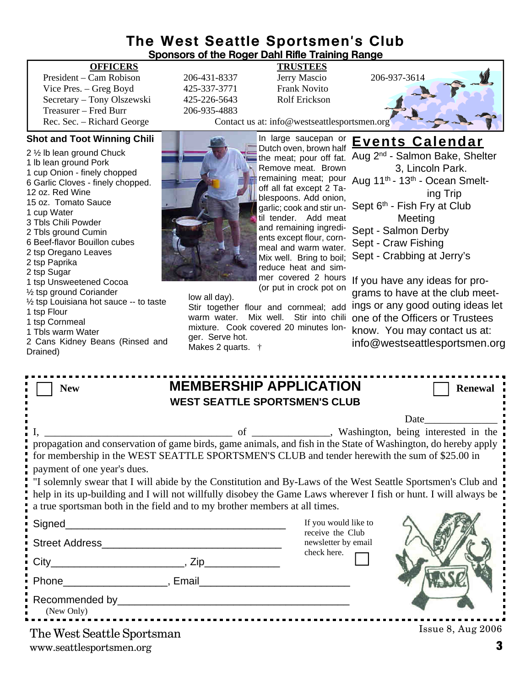### **The West Seattle Sportsmen's Club Sponsors of the Roger Dahl Rifle Training Range**

#### **OFFICERS TRUSTEES**

President – Cam Robison 206-431-8337 Jerry Mascio 206-937-3614 Vice Pres. – Greg Boyd 425-337-3771 Frank Novito Secretary – Tony Olszewski 425-226-5643 Rolf Erickson Treasurer – Fred Burr 206-935-4883

#### **Shot and Toot Winning Chili**

2 ½ lb lean ground Chuck 1 lb lean ground Pork 1 cup Onion - finely chopped 6 Garlic Cloves - finely chopped. 12 oz. Red Wine 15 oz. Tomato Sauce 1 cup Water 3 Tbls Chili Powder 2 Tbls ground Cumin 6 Beef-flavor Bouillon cubes 2 tsp Oregano Leaves 2 tsp Paprika 2 tsp Sugar 1 tsp Unsweetened Cocoa ½ tsp ground Coriander ½ tsp Louisiana hot sauce -- to taste 1 tsp Flour 1 tsp Cornmeal 1 Tbls warm Water 2 Cans Kidney Beans (Rinsed and Drained)

Rec. Sec. – Richard George Contact us at: info@westseattlesportsmen.org

In large saucepan or

**Events Calendar** Aug 2nd - Salmon Bake, Shelter

Sept 6<sup>th</sup> - Fish Fry at Club Meeting

Sept - Salmon Derby

3, Lincoln Park.

ing Trip

Dutch oven, brown half the meat; pour off fat. Remove meat. Brown remaining meat; pour Aug 11<sup>th</sup> - 13<sup>th</sup> - Ocean Smeltoff all fat except 2 Tablespoons. Add onion, garlic; cook and stir until tender. Add meat and remaining ingredients except flour, cornmeal and warm water. Mix well. Bring to boil; reduce heat and simmer covered 2 hours (or put in crock pot on

low all day).

Stir together flour and cornmeal; add ings or any good outing ideas let warm water. Mix well. Stir into chili mixture. Cook covered 20 minutes longer. Serve hot. Makes 2 quarts. †

Sept - Craw Fishing Sept - Crabbing at Jerry's If you have any ideas for programs to have at the club meetone of the Officers or Trustees know. You may contact us at:

info@westseattlesportsmen.org

| <b>New</b>                                                                                                                                                                                                                                                                                                                                 | <b>MEMBERSHIP APPLICATION</b><br><b>WEST SEATTLE SPORTSMEN'S CLUB</b>                                                                                                                                                                                                                                                                                                                                                       | <b>Renewal</b> |
|--------------------------------------------------------------------------------------------------------------------------------------------------------------------------------------------------------------------------------------------------------------------------------------------------------------------------------------------|-----------------------------------------------------------------------------------------------------------------------------------------------------------------------------------------------------------------------------------------------------------------------------------------------------------------------------------------------------------------------------------------------------------------------------|----------------|
| payment of one year's dues.<br>a true sportsman both in the field and to my brother members at all times.<br>Phone Representation of the Representation of the Representation of the Representation of the Representation of the Representation of the Representation of the Representation of the Representation of the Representation of | Date<br>for membership in the WEST SEATTLE SPORTSMEN'S CLUB and tender herewith the sum of \$25.00 in<br>"I solemnly swear that I will abide by the Constitution and By-Laws of the West Seattle Sportsmen's Club and<br>help in its up-building and I will not willfully disobey the Game Laws wherever I fish or hunt. I will always be<br>If you would like to<br>receive the Club<br>newsletter by email<br>check here. |                |
| (New Only)<br>___________________________<br>The West Seattle Sportsman                                                                                                                                                                                                                                                                    | $I$ ssue 8, Aug $2006$                                                                                                                                                                                                                                                                                                                                                                                                      |                |